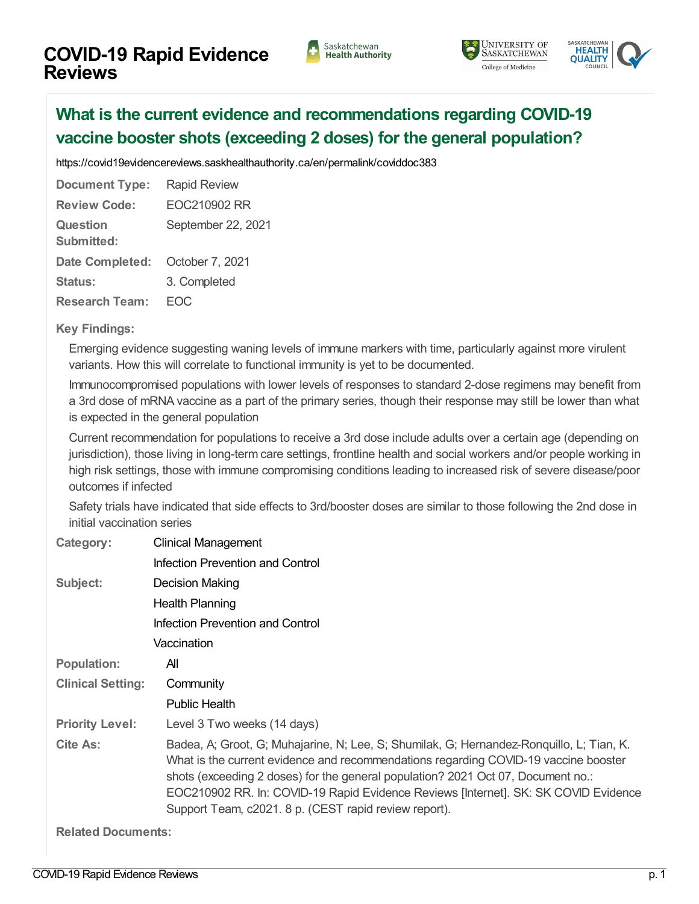





## **What is the current evidence and [recommendations](https://covid19evidencereviews.saskhealthauthority.ca/en/viewer?file=%252fmedia%252fCOVID%252fEOC210902%20RR.pdf#search=id%253acoviddoc383&phrase=false&pagemode=bookmarks) regarding COVID-19 vaccine booster shots (exceeding 2 doses) for the general population?**

<https://covid19evidencereviews.saskhealthauthority.ca/en/permalink/coviddoc383>

| <b>Document Type:</b>                | <b>Rapid Review</b> |
|--------------------------------------|---------------------|
| <b>Review Code:</b>                  | FOC210902 RR        |
| <b>Question</b><br><b>Submitted:</b> | September 22, 2021  |
| <b>Date Completed:</b>               | October 7, 2021     |
| Status:                              | 3. Completed        |
| <b>Research Team:</b>                |                     |

## **Key Findings:**

Emerging evidence suggesting waning levels of immune markers with time, particularly against more virulent variants. How this will correlate to functional immunity is yet to be documented.

Immunocompromised populations with lower levels of responses to standard 2-dose regimens may benefit from a 3rd dose of mRNA vaccine as a part of the primary series, though their response may still be lower than what is expected in the general population

Current recommendation for populations to receive a 3rd dose include adults over a certain age (depending on jurisdiction), those living in long-term care settings, frontline health and social workers and/or people working in high risk settings, those with immune compromising conditions leading to increased risk of severe disease/poor outcomes if infected

Safety trials have indicated that side effects to 3rd/booster doses are similar to those following the 2nd dose in initial vaccination series

| Category:                | <b>Clinical Management</b>                                                                                                                                                                                                                                                                                                                                                                                          |
|--------------------------|---------------------------------------------------------------------------------------------------------------------------------------------------------------------------------------------------------------------------------------------------------------------------------------------------------------------------------------------------------------------------------------------------------------------|
|                          | <b>Infection Prevention and Control</b>                                                                                                                                                                                                                                                                                                                                                                             |
| Subject:                 | Decision Making                                                                                                                                                                                                                                                                                                                                                                                                     |
|                          | Health Planning                                                                                                                                                                                                                                                                                                                                                                                                     |
|                          | Infection Prevention and Control                                                                                                                                                                                                                                                                                                                                                                                    |
|                          | Vaccination                                                                                                                                                                                                                                                                                                                                                                                                         |
| <b>Population:</b>       | All                                                                                                                                                                                                                                                                                                                                                                                                                 |
| <b>Clinical Setting:</b> | Community                                                                                                                                                                                                                                                                                                                                                                                                           |
|                          | <b>Public Health</b>                                                                                                                                                                                                                                                                                                                                                                                                |
| <b>Priority Level:</b>   | Level 3 Two weeks (14 days)                                                                                                                                                                                                                                                                                                                                                                                         |
| Cite As:                 | Badea, A; Groot, G; Muhajarine, N; Lee, S; Shumilak, G; Hernandez-Ronquillo, L; Tian, K.<br>What is the current evidence and recommendations regarding COVID-19 vaccine booster<br>shots (exceeding 2 doses) for the general population? 2021 Oct 07, Document no.:<br>EOC210902 RR. In: COVID-19 Rapid Evidence Reviews [Internet]. SK: SK COVID Evidence<br>Support Team, c2021. 8 p. (CEST rapid review report). |

**Related Documents:**